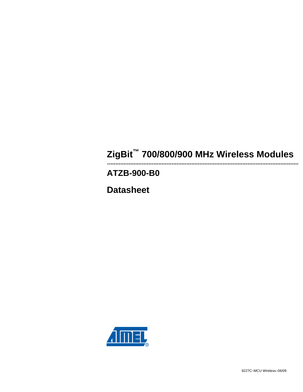# **ZigBit™ 700/800/900 MHz Wireless Modules**

**....................................................................................................................**

# **ATZB-900-B0**

**Datasheet**

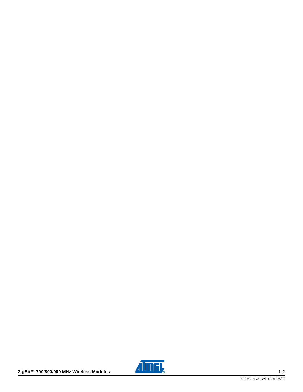

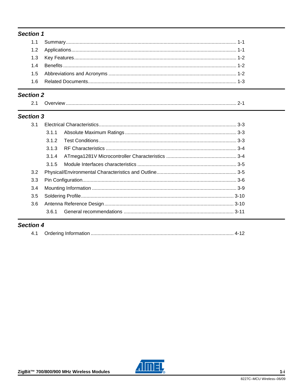Section 1

# **Section 2**

# **Section 3**

| 3.1 |       | $3-3$ |
|-----|-------|-------|
|     | 3.1.1 |       |
|     | 3.1.2 |       |
|     | 3.1.3 |       |
|     | 3.1.4 |       |
|     | 3.1.5 |       |
| 3.2 |       |       |
| 3.3 |       |       |
| 3.4 |       |       |
| 3.5 |       |       |
| 3.6 |       |       |
|     | 3.6.1 |       |

# Section 4

| 4.1 |  |  |  |  |
|-----|--|--|--|--|
|-----|--|--|--|--|



 $1 - i$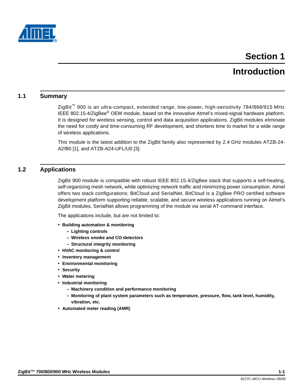<span id="page-3-0"></span>

# **Introduction**

#### <span id="page-3-1"></span>**1.1 Summary**

ZigBit™ 900 is an ultra-compact, extended range, low-power, high-sensitivity 784/868/915 MHz IEEE 802.15.4/ZigBee<sup>®</sup> OEM module, based on the innovative Atmel's mixed-signal hardware platform. It is designed for wireless sensing, control and data acquisition applications. ZigBit modules eliminate the need for costly and time-consuming RF development, and shortens time to market for a wide range of wireless applications.

This module is the latest addition to the ZigBit family also represented by 2.4 GHz modules ATZB-24- A2/B0 [1], and ATZB-A24-UFL/U0 [3].

#### <span id="page-3-2"></span>**1.2 Applications**

ZigBit 900 module is compatible with robust IEEE 802.15.4/ZigBee stack that supports a self-healing, self-organizing mesh network, while optimizing network traffic and minimizing power consumption. Atmel offers two stack configurations: BitCloud and SerialNet. BitCloud is a ZigBee PRO certified software development platform supporting reliable, scalable, and secure wireless applications running on Atmel's ZigBit modules. SerialNet allows programming of the module via serial AT-command interface.

The applications include, but are not limited to:

- **Building automation & monitoring**
	- **Lighting controls**
	- **Wireless smoke and CO detectors**
	- **Structural integrity monitoring**
- **HVAC monitoring & control**
- **Inventory management**
- **Environmental monitoring**
- **Security**
- **Water metering**
- **Industrial monitoring**
	- **Machinery condition and performance monitoring**
	- **Monitoring of plant system parameters such as temperature, pressure, flow, tank level, humidity, vibration, etc.**
- **Automated meter reading (AMR)**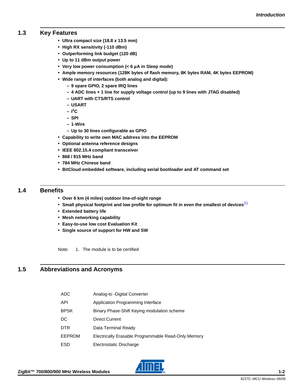#### <span id="page-4-0"></span>**1.3 Key Features**

- **Ultra compact size (18.8 x 13.5 mm)**
- **High RX sensitivity (-110 dBm)**
- **Outperforming link budget (120 dB)**
- **Up to 11 dBm output power**
- **Very low power consumption (< 6 µA in Sleep mode)**
- **Ample memory resources (128K bytes of flash memory, 8K bytes RAM, 4K bytes EEPROM)**
- **Wide range of interfaces (both analog and digital):**
	- **9 spare GPIO, 2 spare IRQ lines**
	- **4 ADC lines + 1 line for supply voltage control (up to 9 lines with JTAG disabled)**
	- **UART with CTS/RTS control**
	- **USART**
	- **I<sup>2</sup> C**
	- **SPI**
	- **1-Wire**
	- **Up to 30 lines configurable as GPIO**
- **Capability to write own MAC address into the EEPROM**
- **Optional antenna reference designs**
- **IEEE 802.15.4 compliant transceiver**
- **868 / 915 MHz band**
- **784 MHz Chinese band**
- **BitCloud embedded software, including serial bootloader and AT command set**

#### <span id="page-4-1"></span>**1.4 Benefits**

- **Over 6 km (4 miles) outdoor line-of-sight range**
- **Small physical footprint and low profile for optimum fit in even the smallest of devices**[\(1\)](#page-4-3)
- **Extended battery life**
- **Mesh networking capability**
- **Easy-to-use low cost Evaluation Kit**
- **Single source of support for HW and SW**

<span id="page-4-3"></span>Note: 1. The module is to be certified

### <span id="page-4-2"></span>**1.5 Abbreviations and Acronyms**

| ADC         | Analog-to -Digital Converter                        |
|-------------|-----------------------------------------------------|
| API         | Application Programming Interface                   |
| <b>BPSK</b> | Binary Phase-Shift Keying modulation scheme         |
| DC          | <b>Direct Current</b>                               |
| DTR.        | Data Terminal Ready                                 |
| EEPROM      | Electrically Erasable Programmable Read-Only Memory |
| ESD         | Electrostatic Discharge                             |
|             |                                                     |

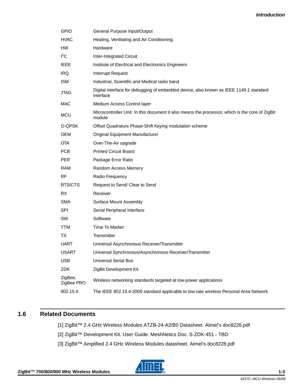| <b>GPIO</b>           | General Purpose Input/Output                                                                              |
|-----------------------|-----------------------------------------------------------------------------------------------------------|
| <b>HVAC</b>           | Heating, Ventilating and Air Conditioning                                                                 |
| <b>HW</b>             | Hardware                                                                                                  |
| $I^2C$                | Inter-Integrated Circuit                                                                                  |
| <b>IEEE</b>           | Institute of Electrical and Electrionics Engineers                                                        |
| IRQ.                  | <b>Interrupt Request</b>                                                                                  |
| <b>ISM</b>            | Industrial, Scientific and Medical radio band                                                             |
| <b>JTAG</b>           | Digital interface for debugging of embedded device, also known as IEEE 1149.1 standard<br>interface       |
| <b>MAC</b>            | Medium Access Control layer                                                                               |
| MCU                   | Microcontroller Unit. In this document it also means the processor, which is the core of ZigBit<br>module |
| O-QPSK                | Offset Quadrature Phase-Shift Keying modulation scheme                                                    |
| <b>OEM</b>            | Original Equipment Manufacturer                                                                           |
| <b>OTA</b>            | Over-The-Air upgrade                                                                                      |
| <b>PCB</b>            | <b>Printed Circuit Board</b>                                                                              |
| PER.                  | Package Error Ratio                                                                                       |
| <b>RAM</b>            | Random Access Memory                                                                                      |
| <b>RF</b>             | Radio Frequency                                                                                           |
| RTS/CTS               | Request to Send/ Clear to Send                                                                            |
| RX.                   | Receiver                                                                                                  |
| <b>SMA</b>            | Surface Mount Assembly                                                                                    |
| SPI                   | Serial Peripheral Interface                                                                               |
| SW                    | Software                                                                                                  |
| TTM                   | Time To Market                                                                                            |
| TX                    | Transmitter                                                                                               |
| <b>UART</b>           | Universal Asynchronous Receiver/Transmitter                                                               |
| <b>USART</b>          | Universal Synchronous/Asynchronous Receiver/Transmitter                                                   |
| <b>USB</b>            | <b>Universal Serial Bus</b>                                                                               |
| <b>ZDK</b>            | ZigBit Development Kit                                                                                    |
| ZigBee,<br>ZigBee PRO | Wireless networking standards targeted at low-power applications                                          |
| 802.15.4              | The IEEE 802.15.4-2006 standard applicable to low-rate wireless Personal Area Network                     |

### <span id="page-5-0"></span>**1.6 Related Documents**

- [1] ZigBit™ 2.4 GHz Wireless Modules ATZB-24-A2/B0 Datasheet. Atmel's doc8226.pdf
- [2] ZigBit™ Development Kit. User Guide. MeshNetics Doc. S-ZDK-451 TBD
- [3] ZigBit™ Amplified 2.4 GHz Wireless Modules datasheet. Atmel's doc8228.pdf

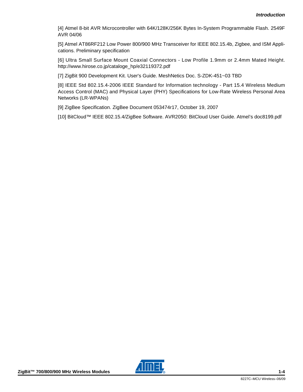[4] Atmel 8-bit AVR Microcontroller with 64K/128K/256K Bytes In-System Programmable Flash. 2549F AVR 04/06

[5] Atmel AT86RF212 Low Power 800/900 MHz Transceiver for IEEE 802.15.4b, Zigbee, and ISM Applications. Preliminary specification

[6] Ultra Small Surface Mount Coaxial Connectors - Low Profile 1.9mm or 2.4mm Mated Height. http://www.hirose.co.jp/cataloge\_hp/e32119372.pdf

[7] ZigBit 900 Development Kit. User's Guide. MeshNetics Doc. S-ZDK-451~03 TBD

[8] IEEE Std 802.15.4-2006 IEEE Standard for Information technology - Part 15.4 Wireless Medium Access Control (MAC) and Physical Layer (PHY) Specifications for Low-Rate Wireless Personal Area Networks (LR-WPANs)

[9] ZigBee Specification. ZigBee Document 053474r17, October 19, 2007

[10] BitCloud™ IEEE 802.15.4/ZigBee Software. AVR2050: BitCloud User Guide. Atmel's doc8199.pdf

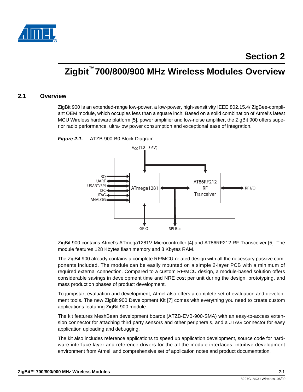

# <span id="page-7-0"></span>**Zigbit™700/800/900 MHz Wireless Modules Overview**

#### <span id="page-7-1"></span>**2.1 Overview**

ZigBit 900 is an extended-range low-power, a low-power, high-sensitivity IEEE 802.15.4/ ZigBee-compliant OEM module, which occupies less than a square inch. Based on a solid combination of Atmel's latest MCU Wireless hardware platform [5], power amplifier and low-noise amplifier, the ZigBit 900 offers superior radio performance, ultra-low power consumption and exceptional ease of integration.





ZigBit 900 contains Atmel's ATmega1281V Microcontroller [4] and AT86RF212 RF Transceiver [5]. The module features 128 Kbytes flash memory and 8 Kbytes RAM.

The ZigBit 900 already contains a complete RF/MCU-related design with all the necessary passive components included. The module can be easily mounted on a simple 2-layer PCB with a minimum of required external connection. Compared to a custom RF/MCU design, a module-based solution offers considerable savings in development time and NRE cost per unit during the design, prototyping, and mass production phases of product development.

To jumpstart evaluation and development, Atmel also offers a complete set of evaluation and development tools. The new ZigBit 900 Development Kit [7] comes with everything you need to create custom applications featuring ZigBit 900 module.

The kit features MeshBean development boards (ATZB-EVB-900-SMA) with an easy-to-access extension connector for attaching third party sensors and other peripherals, and a JTAG connector for easy application uploading and debugging.

The kit also includes reference applications to speed up application development, source code for hardware interface layer and reference drivers for the all the module interfaces, intuitive development environment from Atmel, and comprehensive set of application notes and product documentation.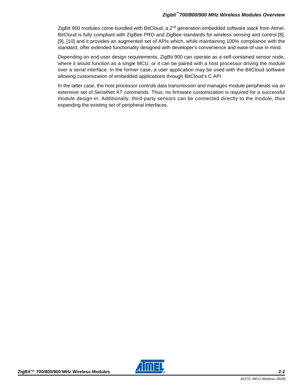ZigBit 900 modules come bundled with BitCloud, a 2<sup>nd</sup> generation embedded software stack from Atmel. BitCloud is fully compliant with ZigBee PRO and ZigBee standards for wireless sensing and control [8], [9], [10] and it provides an augmented set of APIs which, while maintaining 100% compliance with the standard, offer extended functionality designed with developer's convenience and ease-of-use in mind.

Depending on end-user design requirements, ZigBit 900 can operate as a self-contained sensor node, where it would function as a single MCU, or it can be paired with a host processor driving the module over a serial interface. In the former case, a user application may be used with the BitCloud software allowing customization of embedded applications through BitCloud's C API.

In the latter case, the host processor controls data transmission and manages module peripherals via an extensive set of SerialNet AT commands. Thus, no firmware customization is required for a successful module design-in. Additionally, third-party sensors can be connected directly to the module, thus expanding the existing set of peripheral interfaces.

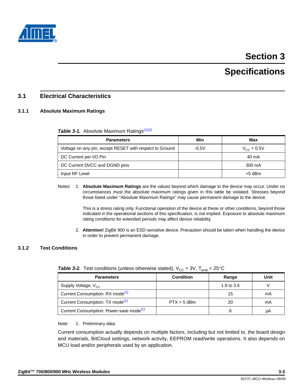<span id="page-9-0"></span>

# **Section 3**

# **Specifications**

#### <span id="page-9-1"></span>**3.1 Electrical Characteristics**

#### <span id="page-9-2"></span>**3.1.1 Absolute Maximum Ratings**

#### **Table 3-1.** Absolute Maximum Ratings<sup>(1)[\(2\)](#page-9-6)</sup>

| <b>Parameters</b>                                       | Min     | Max             |
|---------------------------------------------------------|---------|-----------------|
| Voltage on any pin, except RESET with respect to Ground | $-0.5V$ | $V_{CC}$ + 0.5V |
| DC Current per I/O Pin                                  |         | 40 mA           |
| DC Current DVCC and DGND pins                           |         | 300 mA          |
| Input RF Level                                          |         | $+5$ dBm        |

<span id="page-9-5"></span>Notes: 1. **Absolute Maximum Ratings** are the values beyond which damage to the device may occur. Under no circumstances must the absolute maximum ratings given in this table be violated. Stresses beyond those listed under "Absolute Maximum Ratings" may cause permanent damage to the device.

> This is a stress rating only. Functional operation of the device at these or other conditions, beyond those indicated in the operational sections of this specification, is not implied. Exposure to absolute maximum rating conditions for extended periods may affect device reliability.

<span id="page-9-6"></span>2. **Attention!** ZigBit 900 is an ESD-sensitive device. Precaution should be taken when handling the device in order to prevent permanent damage.

#### <span id="page-9-3"></span>**3.1.2 Test Conditions**

| <b>Parameters</b>                                   | <b>Condition</b> | Range      | Unit |
|-----------------------------------------------------|------------------|------------|------|
| Supply Voltage, V <sub>CC</sub>                     |                  | 1.8 to 3.6 |      |
| Current Consumption: RX mode <sup>(1)</sup>         |                  | 15         | mA   |
| Current Consumption: TX mode <sup>(1)</sup>         | $PTX = 5$ dBm    | 20         | mA   |
| Current Consumption: Power-save mode <sup>(1)</sup> |                  | 6          | uА   |

**Table 3-2.** Test conditions (unless otherwise stated),  $V_{CC} = 3V$ ,  $T_{amb} = 25^{\circ}C$ 

#### <span id="page-9-4"></span>Note: 1. Preliminary data

Current consumption actually depends on multiple factors, including but not limited to, the board design and materials, BitCloud settings, network activity, EEPROM read/write operations. It also depends on MCU load and/or peripherals used by an application.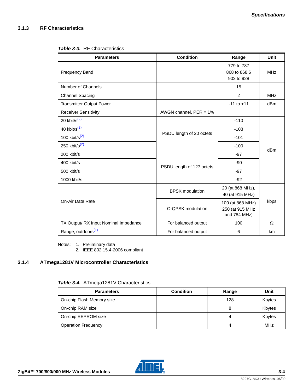#### <span id="page-10-0"></span>**3.1.3 RF Characteristics**

| <b>Parameters</b>                     | <b>Condition</b>          | Range                                               | <b>Unit</b>     |
|---------------------------------------|---------------------------|-----------------------------------------------------|-----------------|
| <b>Frequency Band</b>                 |                           | 779 to 787<br>868 to 868.6<br>902 to 928            | <b>MHz</b>      |
| Number of Channels                    |                           | 15                                                  |                 |
| <b>Channel Spacing</b>                |                           | 2                                                   | <b>MHz</b>      |
| <b>Transmitter Output Power</b>       |                           | $-11$ to $+11$                                      | dB <sub>m</sub> |
| <b>Receiver Sensitivity</b>           | AWGN channel, $PER = 1\%$ |                                                     |                 |
| 20 kbit/ $s^{(2)}$                    |                           | $-110$                                              |                 |
| 40 kbit/ $s^{(2)}$                    | PSDU length of 20 octets  | $-108$                                              | dBm             |
| 100 kbit/ $s^{(2)}$                   |                           | $-101$                                              |                 |
| 250 kbit/s <sup>(2)</sup>             |                           | $-100$                                              |                 |
| 200 kbit/s                            |                           | $-97$                                               |                 |
| 400 kbit/s                            |                           | $-90$                                               |                 |
| 500 kbit/s                            | PSDU length of 127 octets | $-97$                                               |                 |
| 1000 kbit/s                           |                           | $-92$                                               |                 |
|                                       | <b>BPSK</b> modulation    | 20 (at 868 MHz),<br>40 (at 915 MHz)                 | kbps            |
| On-Air Data Rate                      | O-QPSK modulation         | 100 (at 868 MHz)<br>250 (at 915 MHz<br>and 784 MHz) |                 |
| TX Output/ RX Input Nominal Impedance | For balanced output       | 100                                                 | $\Omega$        |
| Range, outdoors <sup>(1)</sup>        | For balanced output       | 6                                                   | km              |

*Table 3-3.* RF Characteristics

<span id="page-10-3"></span><span id="page-10-2"></span>Notes: 1. Preliminary data

2. IEEE 802.15.4-2006 compliant

#### <span id="page-10-1"></span>**3.1.4 ATmega1281V Microcontroller Characteristics**

| <b>Parameters</b>          | <b>Condition</b> | Range | Unit       |
|----------------------------|------------------|-------|------------|
| On-chip Flash Memory size  |                  | 128   | Kbytes     |
| On-chip RAM size           |                  | 8     | Kbytes     |
| On-chip EEPROM size        |                  | 4     | Kbytes     |
| <b>Operation Frequency</b> |                  | 4     | <b>MHz</b> |

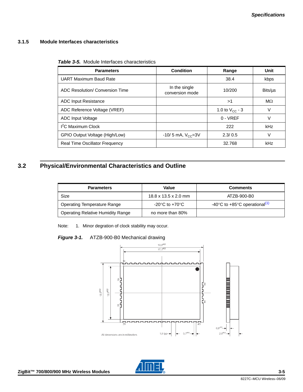#### <span id="page-11-0"></span>**3.1.5 Module Interfaces characteristics**

#### *Table 3-5.* Module Interfaces characteristics

| <b>Parameters</b>               | <b>Condition</b>                 | Range               | Unit      |
|---------------------------------|----------------------------------|---------------------|-----------|
| <b>UART Maximum Baud Rate</b>   |                                  | 38.4                | kbps      |
| ADC Resolution/ Conversion Time | In the single<br>conversion mode | 10/200              | Bits/µs   |
| <b>ADC Input Resistance</b>     |                                  | >1                  | $M\Omega$ |
| ADC Reference Voltage (VREF)    |                                  | 1.0 to $V_{CC}$ - 3 | V         |
| <b>ADC Input Voltage</b>        |                                  | $0 - VREF$          | v         |
| 1 <sup>2</sup> C Maximum Clock  |                                  | 222                 | kHz       |
| GPIO Output Voltage (High/Low)  | -10/5 mA, $V_{CC} = 3V$          | 2.3/0.5             | V         |
| Real Time Oscillator Frequency  |                                  | 32.768              | kHz       |

### <span id="page-11-1"></span>**3.2 Physical/Environmental Characteristics and Outline**

| <b>Parameters</b>                        | Value                                                | <b>Comments</b>                                               |
|------------------------------------------|------------------------------------------------------|---------------------------------------------------------------|
| Size                                     | $18.8 \times 13.5 \times 2.0$ mm                     | ATZB-900-B0                                                   |
| Operating Temperature Range              | -20 $\mathrm{^{\circ}C}$ to +70 $\mathrm{^{\circ}C}$ | -40 $\degree$ C to +85 $\degree$ C operational <sup>(1)</sup> |
| <b>Operating Relative Humidity Range</b> | no more than 80%                                     |                                                               |

<span id="page-11-2"></span>Note: 1. Minor degration of clock stability may occur.

#### *Figure 3-1.* ATZB-900-B0 Mechanical drawing



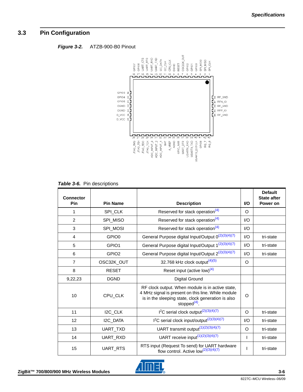### <span id="page-12-0"></span>**3.3 Pin Configuration**





*Table 3-6.* Pin descriptions

| <b>Connector</b><br><b>Pin</b> | <b>Pin Name</b>   | <b>Description</b>                                                                                                                                                              | <b>VO</b>    | <b>Default</b><br><b>State after</b><br>Power on |
|--------------------------------|-------------------|---------------------------------------------------------------------------------------------------------------------------------------------------------------------------------|--------------|--------------------------------------------------|
| 1                              | SPI_CLK           | Reserved for stack operation <sup>(4)</sup>                                                                                                                                     | O            |                                                  |
| $\overline{c}$                 | SPI_MISO          | Reserved for stack operation <sup>(4)</sup>                                                                                                                                     | 1/O          |                                                  |
| 3                              | SPI_MOSI          | Reserved for stack operation <sup>(4)</sup>                                                                                                                                     | 1/O          |                                                  |
| 4                              | GPIO <sub>0</sub> | General Purpose digital Input/Output 0 <sup>(2)(3)(4)(7)</sup>                                                                                                                  | 1/O          | tri-state                                        |
| 5                              | GPIO1             | General Purpose digital Input/Output 1 <sup>(2)(3)(4)(7)</sup>                                                                                                                  | I/O          | tri-state                                        |
| 6                              | GPIO <sub>2</sub> | General Purpose digital Input/Output 2 <sup>(2)(3)(4)(7)</sup>                                                                                                                  | 1/O          | tri-state                                        |
| $\overline{7}$                 | OSC32K_OUT        | 32.768 kHz clock output $(4)(5)$                                                                                                                                                | O            |                                                  |
| 8                              | <b>RESET</b>      | Reset input (active low) $(4)$                                                                                                                                                  |              |                                                  |
| 9,22,23                        | <b>DGND</b>       | <b>Digital Ground</b>                                                                                                                                                           |              |                                                  |
| 10                             | CPU_CLK           | RF clock output. When module is in active state,<br>4 MHz signal is present on this line. While module<br>is in the sleeping state, clock generation is also<br>stopped $(4)$ . | O            |                                                  |
| 11                             | I2C_CLK           | $I^2C$ serial clock output <sup>(2)(3)(4)(7)</sup>                                                                                                                              | $\Omega$     | tri-state                                        |
| 12                             | I2C_DATA          | $I2C$ serial clock input/output <sup>(2)(3)(4)(7)</sup>                                                                                                                         | 1/O          | tri-state                                        |
| 13                             | UART_TXD          | UART transmit output <sup>(1)(2)(3)(4)(7)</sup>                                                                                                                                 | O            | tri-state                                        |
| 14                             | UART_RXD          | UART receive input <sup>(1)(2)(3)(4)(7)</sup>                                                                                                                                   | I            | tri-state                                        |
| 15                             | UART_RTS          | RTS input (Request To send) for UART hardware<br>flow control. Active $low^{(2)(3)(4)(7)}$                                                                                      | $\mathbf{I}$ | tri-state                                        |

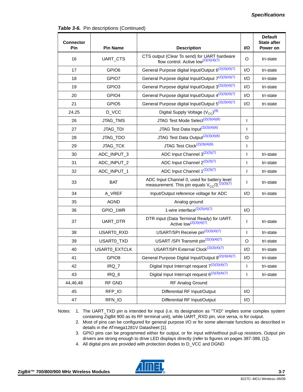| <b>Connector</b><br>Pin | <b>Pin Name</b>   | <b>Description</b>                                                                               | I/O          | <b>Default</b><br><b>State after</b><br>Power on |
|-------------------------|-------------------|--------------------------------------------------------------------------------------------------|--------------|--------------------------------------------------|
| 16                      | UART_CTS          | CTS output (Clear To send) for UART hardware<br>flow control. Active $low^{(2)(3)(4)(7)}$        | O            | tri-state                                        |
| 17                      | GPIO <sub>6</sub> | General Purpose digital Input/Output 6 <sup>(2)(3)(4)(7)</sup>                                   | I/O          | tri-state                                        |
| 18                      | GPIO7             | General Purpose digital Input/Output 7 <sup>(2)(3)(4)(7)</sup>                                   | I/O          | tri-state                                        |
| 19                      | GPIO <sub>3</sub> | General Purpose digital Input/Output 3 <sup>(2)(3)(4)(7)</sup>                                   | 1/O          | tri-state                                        |
| 20                      | GPIO4             | General Purpose digital Input/Output 4 <sup>(2)(3)(4)(7)</sup>                                   | I/O          | tri-state                                        |
| 21                      | GPIO <sub>5</sub> | General Purpose digital Input/Output 5 <sup>(2)(3)(4)(7)</sup>                                   | 1/O          | tri-state                                        |
| 24,25                   | D_VCC             | Digital Supply Voltage $(V_{CC})^{(9)}$                                                          |              |                                                  |
| 26                      | JTAG_TMS          | JTAG Test Mode Select <sup>(2)(3)(4)(6)</sup>                                                    | I            |                                                  |
| 27                      | JTAG_TDI          | JTAG Test Data Input <sup>(2)(3)(4)(6)</sup>                                                     | I            |                                                  |
| 28                      | JTAG_TDO          | JTAG Test Data Output <sup>(2)(3)(4)(6)</sup>                                                    | $\circ$      |                                                  |
| 29                      | JTAG_TCK          | JTAG Test Clock <sup>(2)(3)(4)(6)</sup>                                                          | I            |                                                  |
| 30                      | ADC_INPUT_3       | ADC Input Channel 3 <sup>(2)(3)(7)</sup>                                                         | I            | tri-state                                        |
| 31                      | ADC_INPUT_2       | ADC Input Channel 2 <sup>(2)(3)(7)</sup>                                                         | I            | tri-state                                        |
| 32                      | ADC_INPUT_1       | ADC Input Channel 1 <sup>(2)(3)(7)</sup>                                                         | I            | tri-state                                        |
| 33                      | <b>BAT</b>        | ADC Input Channel 0, used for battery level<br>measurement. This pin equals $V_{CC}/3$ (2)(3)(7) | I            | tri-state                                        |
| 34                      | A_VREF            | Input/Output reference voltage for ADC                                                           | I/O          | tri-state                                        |
| 35                      | <b>AGND</b>       | Analog ground                                                                                    |              |                                                  |
| 36                      | GPIO_1WR          | 1-wire interface $(2)(3)(4)(7)$                                                                  | I/O          |                                                  |
| 37                      | UART_DTR          | DTR input (Data Terminal Ready) for UART.<br>Active $low^{(2)(3)(4)(7)}$                         | I            | tri-state                                        |
| 38                      | USART0_RXD        | USART/SPI Receive pin <sup>(2)(3)(4)(7)</sup>                                                    | I            | tri-state                                        |
| 39                      | USART0_TXD        | USART /SPI Transmit pin <sup>(2)(3)(4)(7)</sup>                                                  | O            | tri-state                                        |
| 40                      | USART0_EXTCLK     | USART/SPI External Clock <sup>(2)(3)(4)(7)</sup>                                                 | I/O          | tri-state                                        |
| 41                      | GPIO8             | General Purpose Digital Input/Output 8 <sup>(2)(3)(4)(7)</sup>                                   | I/O          | tri-state                                        |
| 42                      | $IRQ_7$           | Digital Input Interrupt request $7^{(2)(3)(4)(7)}$                                               | L            | tri-state                                        |
| 43                      | IRQ <sub>6</sub>  | Digital Input Interrupt request 6 <sup>(2)(3)(4)(7)</sup>                                        | $\mathsf{I}$ | tri-state                                        |
| 44,46,48                | RF GND            | <b>RF Analog Ground</b>                                                                          |              |                                                  |
| 45                      | RFP_IO            | Differential RF Input/Output                                                                     | I/O          |                                                  |
| 47                      | RFN_IO            | Differential RF Input/Output                                                                     | I/O          |                                                  |

*Table 3-6.* Pin descriptions (Continued)

<span id="page-13-3"></span><span id="page-13-1"></span>Notes: 1. The UART\_TXD pin is intended for input (i.e. its designation as "TXD" implies some complex system containing ZigBit 900 as its RF terminal unit), while UART\_RXD pin, vice versa, is for output.

- 2. Most of pins can be configured for general purpose I/O or for some alternate functions as described in details in the ATmega1281V Datasheet [1].
- <span id="page-13-2"></span>3. GPIO pins can be programmed either for output, or for input with/without pull-up resistors. Output pin drivers are strong enough to drive LED displays directly (refer to figures on pages 387-388, [1]).
- <span id="page-13-0"></span>4. All digital pins are provided with protection diodes to D\_VCC and DGND

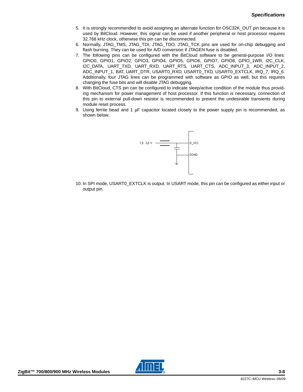- <span id="page-14-1"></span>5. It is strongly recommended to avoid assigning an alternate function for OSC32K\_OUT pin because it is used by BitCloud. However, this signal can be used if another peripheral or host processor requires 32.768 kHz clock, otherwise this pin can be disconnected.
- <span id="page-14-3"></span>6. Normally, JTAG\_TMS, JTAG\_TDI, JTAG\_TDO, JTAG\_TCK pins are used for on-chip debugging and flash burning. They can be used for A/D conversion if JTAGEN fuse is disabled.
- <span id="page-14-0"></span>7. The following pins can be configured with the BitCloud software to be general-purpose I/O lines: GPIO0, GPIO1, GPIO2, GPIO3, GPIO4, GPIO5, GPIO6, GPIO7, GPIO8, GPIO\_1WR, I2C\_CLK, I2C\_DATA, UART\_TXD, UART\_RXD, UART\_RTS, UART\_CTS, ADC\_INPUT\_3, ADC\_INPUT\_2, ADC\_INPUT\_1, BAT, UART\_DTR, USART0\_RXD, USART0\_TXD, USART0\_EXTCLK, IRQ\_7, IRQ\_6. Additionally, four JTAG lines can be programmed with software as GPIO as well, but this requires changing the fuse bits and will disable JTAG debugging.
- 8. With BitCloud, CTS pin can be configured to indicate sleep/active condition of the module thus providing mechanism for power management of host processor. If this function is necessary, connection of this pin to external pull-down resistor is recommended to prevent the undesirable transients during module reset process.
- <span id="page-14-2"></span>9. Using ferrite bead and 1 µF capacitor located closely to the power supply pin is recommended, as shown below.



10. In SPI mode, USART0\_EXTCLK is output. In USART mode, this pin can be configured as either input or output pin.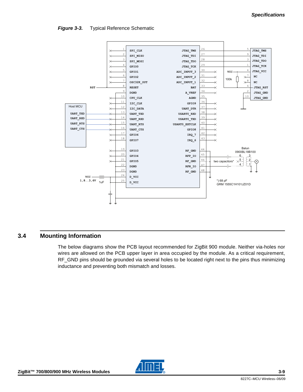



#### <span id="page-15-0"></span>**3.4 Mounting Information**

The below diagrams show the PCB layout recommended for ZigBit 900 module. Neither via-holes nor wires are allowed on the PCB upper layer in area occupied by the module. As a critical requirement, RF\_GND pins should be grounded via several holes to be located right next to the pins thus minimizing inductance and preventing both mismatch and losses.

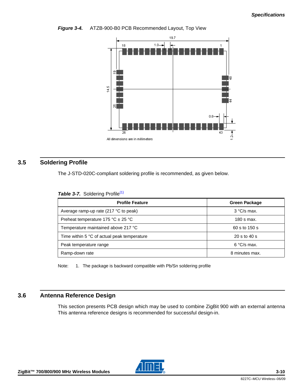

### *Figure 3-4.* ATZB-900-B0 PCB Recommended Layout, Top View

### <span id="page-16-0"></span>**3.5 Soldering Profile**

The J-STD-020C-compliant soldering profile is recommended, as given below.

| Table 3-7. Soldering Profile <sup>(1)</sup> |  |  |
|---------------------------------------------|--|--|
|---------------------------------------------|--|--|

| <b>Profile Feature</b>                      | <b>Green Package</b> |  |
|---------------------------------------------|----------------------|--|
| Average ramp-up rate (217 °C to peak)       | $3 °C/s$ max.        |  |
| Preheat temperature 175 °C $\pm$ 25 °C      | 180 s max.           |  |
| Temperature maintained above 217 °C         | 60 s to 150 s        |  |
| Time within 5 °C of actual peak temperature | 20 s to 40 s         |  |
| Peak temperature range                      | $6^{\circ}$ C/s max. |  |
| Ramp-down rate                              | 8 minutes max.       |  |

<span id="page-16-2"></span>Note: 1. The package is backward compatible with Pb/Sn soldering profile

### <span id="page-16-1"></span>**3.6 Antenna Reference Design**

This section presents PCB design which may be used to combine ZigBit 900 with an external antenna This antenna reference designs is recommended for successful design-in.

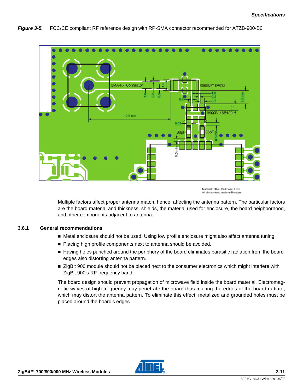

*Figure 3-5.* FCC/CE compliant RF reference design with RP-SMA connector recommended for ATZB-900-B0

Material: FR-4. thickness 1 mm All dimensions are in millimeters

Multiple factors affect proper antenna match, hence, affecting the antenna pattern. The particular factors are the board material and thickness, shields, the material used for enclosure, the board neighborhood, and other components adjacent to antenna.

#### <span id="page-17-0"></span>**3.6.1 General recommendations**

- Metal enclosure should not be used. Using low profile enclosure might also affect antenna tuning.
- Placing high profile components next to antenna should be avoided.
- Having holes punched around the periphery of the board eliminates parasitic radiation from the board edges also distorting antenna pattern.
- ZigBit 900 module should not be placed next to the consumer electronics which might interfere with ZigBit 900's RF frequency band.

The board design should prevent propagation of microwave field inside the board material. Electromagnetic waves of high frequency may penetrate the board thus making the edges of the board radiate, which may distort the antenna pattern. To eliminate this effect, metalized and grounded holes must be placed around the board's edges.

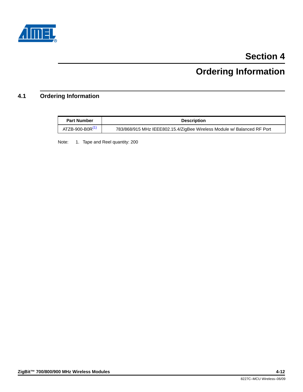<span id="page-18-0"></span>

# **Section 4**

# **Ordering Information**

### <span id="page-18-1"></span>**4.1 Ordering Information**

| <b>Part Number</b> | <b>Description</b>                                                      |
|--------------------|-------------------------------------------------------------------------|
| $ATZB-900-B0R$     | 783/868/915 MHz IEEE802.15.4/ZigBee Wireless Module w/ Balanced RF Port |

<span id="page-18-2"></span>Note: 1. Tape and Reel quantity: 200